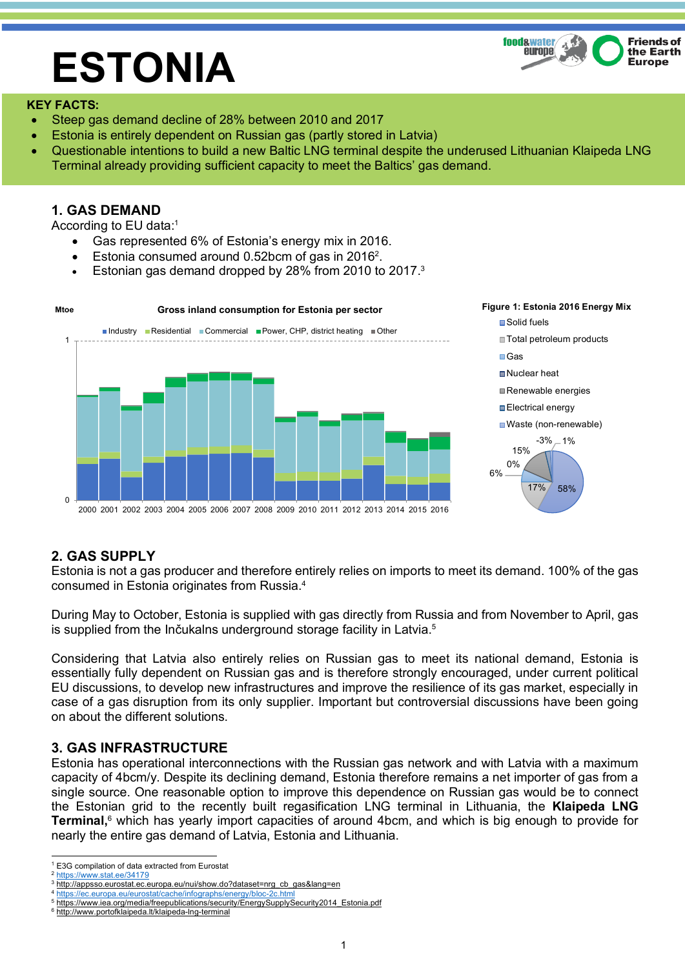# **ESTONIA**



#### **KEY FACTS:**

- Steep gas demand decline of 28% between 2010 and 2017
- Estonia is entirely dependent on Russian gas (partly stored in Latvia)
- Questionable intentions to build a new Baltic LNG terminal despite the underused Lithuanian Klaipeda LNG Terminal already providing sufficient capacity to meet the Baltics' gas demand.

## **1. GAS DEMAND**

According to EU data:1

- Gas represented 6% of Estonia's energy mix in 2016.
- Estonia consumed around 0.52bcm of gas in 2016<sup>2</sup>.
- Estonian gas demand dropped by 28% from 2010 to 2017.<sup>3</sup>



## **2. GAS SUPPLY**

Estonia is not a gas producer and therefore entirely relies on imports to meet its demand. 100% of the gas consumed in Estonia originates from Russia.4

During May to October, Estonia is supplied with gas directly from Russia and from November to April, gas is supplied from the Inčukalns underground storage facility in Latvia.<sup>5</sup>

Considering that Latvia also entirely relies on Russian gas to meet its national demand, Estonia is essentially fully dependent on Russian gas and is therefore strongly encouraged, under current political EU discussions, to develop new infrastructures and improve the resilience of its gas market, especially in case of a gas disruption from its only supplier. Important but controversial discussions have been going on about the different solutions.

## **3. GAS INFRASTRUCTURE**

Estonia has operational interconnections with the Russian gas network and with Latvia with a maximum capacity of 4bcm/y. Despite its declining demand, Estonia therefore remains a net importer of gas from a single source. One reasonable option to improve this dependence on Russian gas would be to connect the Estonian grid to the recently built regasification LNG terminal in Lithuania, the **Klaipeda LNG Terminal,** <sup>6</sup> which has yearly import capacities of around 4bcm, and which is big enough to provide for nearly the entire gas demand of Latvia, Estonia and Lithuania.

 <sup>1</sup> E3G compilation of data extracted from Eurostat

<sup>2</sup> https://www.stat.ee/34179

<sup>&</sup>lt;sup>3</sup> http://appsso.eurostat.ec.europa.eu/nui/show.do?dataset=nrg\_cb\_gas&lang=en

https://ec.europa.eu/eurostat/cache/infographs/energy/bloc-2c.htm

https://www.iea.org/media/freepublications/security/EnergySupplySecurity2014\_Estonia.pdf

<sup>6</sup> http://www.portofklaipeda.lt/klaipeda-lng-terminal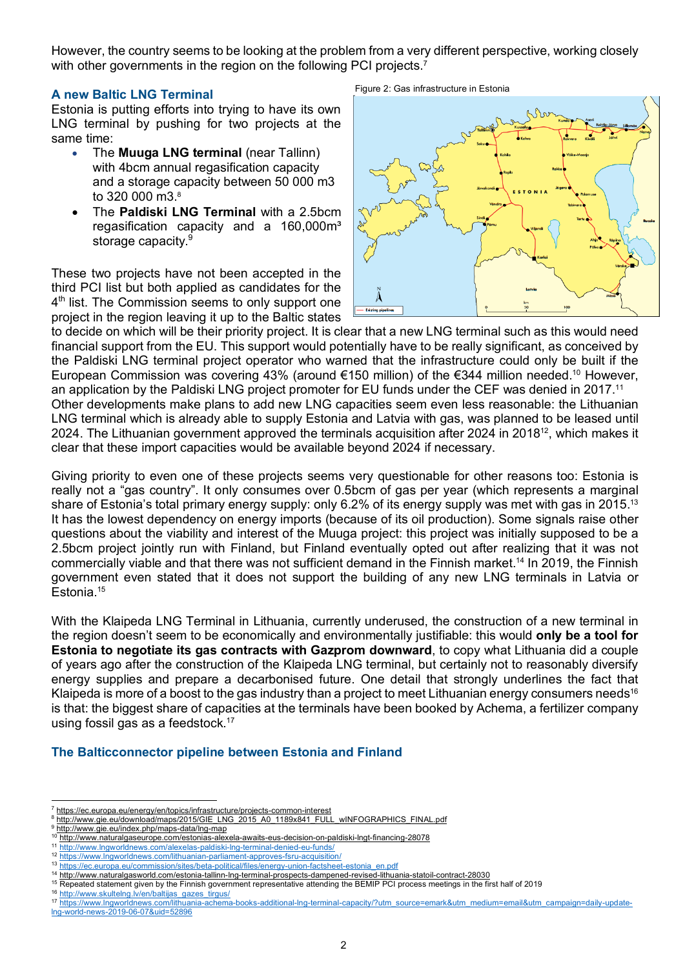However, the country seems to be looking at the problem from a very different perspective, working closely with other governments in the region on the following PCI projects.<sup>7</sup>

#### **A new Baltic LNG Terminal**

Estonia is putting efforts into trying to have its own LNG terminal by pushing for two projects at the same time:

- The **Muuga LNG terminal** (near Tallinn) with 4bcm annual regasification capacity and a storage capacity between 50 000 m3 to 320 000 m3. 8
- The **Paldiski LNG Terminal** with a 2.5bcm regasification capacity and a 160,000m<sup>3</sup> storage capacity.<sup>9</sup>

These two projects have not been accepted in the third PCI list but both applied as candidates for the 4<sup>th</sup> list. The Commission seems to only support one project in the region leaving it up to the Baltic states

Figure 2: Gas infrastructure in Estonia



to decide on which will be their priority project. It is clear that a new LNG terminal such as this would need financial support from the EU. This support would potentially have to be really significant, as conceived by the Paldiski LNG terminal project operator who warned that the infrastructure could only be built if the European Commission was covering 43% (around €150 million) of the €344 million needed. <sup>10</sup> However, an application by the Paldiski LNG project promoter for EU funds under the CEF was denied in 2017.11 Other developments make plans to add new LNG capacities seem even less reasonable: the Lithuanian LNG terminal which is already able to supply Estonia and Latvia with gas, was planned to be leased until 2024. The Lithuanian government approved the terminals acquisition after 2024 in 2018<sup>12</sup>, which makes it clear that these import capacities would be available beyond 2024 if necessary.

Giving priority to even one of these projects seems very questionable for other reasons too: Estonia is really not a "gas country". It only consumes over 0.5bcm of gas per year (which represents a marginal share of Estonia's total primary energy supply: only 6.2% of its energy supply was met with gas in 2015.<sup>13</sup> It has the lowest dependency on energy imports (because of its oil production). Some signals raise other questions about the viability and interest of the Muuga project: this project was initially supposed to be a 2.5bcm project jointly run with Finland, but Finland eventually opted out after realizing that it was not commercially viable and that there was not sufficient demand in the Finnish market.14 In 2019, the Finnish government even stated that it does not support the building of any new LNG terminals in Latvia or Estonia. 15

With the Klaipeda LNG Terminal in Lithuania, currently underused, the construction of a new terminal in the region doesn't seem to be economically and environmentally justifiable: this would **only be a tool for Estonia to negotiate its gas contracts with Gazprom downward**, to copy what Lithuania did a couple of years ago after the construction of the Klaipeda LNG terminal, but certainly not to reasonably diversify energy supplies and prepare a decarbonised future. One detail that strongly underlines the fact that Klaipeda is more of a boost to the gas industry than a project to meet Lithuanian energy consumers needs<sup>16</sup> is that: the biggest share of capacities at the terminals have been booked by Achema, a fertilizer company using fossil gas as a feedstock.<sup>17</sup>

#### **The Balticconnector pipeline between Estonia and Finland**

 <sup>7</sup> https://ec.europa.eu/energy/en/topics/infrastructure/projects-common-interest

<sup>8</sup> http://www.gie.eu/download/maps/2015/GIE\_LNG\_2015\_A0\_1189x841\_FULL\_wINFOGRAPHICS\_FINAL.pdf

<sup>9</sup> http://www.gie.eu/index.php/maps-data/lng-map

<sup>10</sup> http://www.naturalgaseurope.com/estonias-alexela-awaits-eus-decision-on-paldiski-lngt-financing-28078

<sup>11</sup> http://www.lngworldnews.com/alexelas-paldiski-lng-terminal-denied-eu-funds/ <sup>12</sup> https://www.lngworldnews.com/lithuanian-parliament-approves-fsru-acquisition/

<sup>13</sup> https://ec.europa.eu/commission/sites/beta-political/files/energy-union-factsheet-estonia\_en.pdf

<sup>14</sup> http://www.naturalgasworld.com/estonia-tallinn-lng-terminal-prospects-dampened-revised-lithuania-statoil-contract-28030

<sup>15</sup> Repeated statement given by the Finnish government representative attending the BEMIP PCI process meetings in the first half of 2019

<sup>16</sup> http://www.skultelng.lv/en/baltijas\_gazes\_tirgus/

<sup>17</sup> https://www.lngworldnews.com/lithuania-achema-books-additional-lng-terminal-capacity/?utm\_source=emark&utm\_medium=email&utm\_campaign=daily-updatelng-world-news-2019-06-07&uid=52896